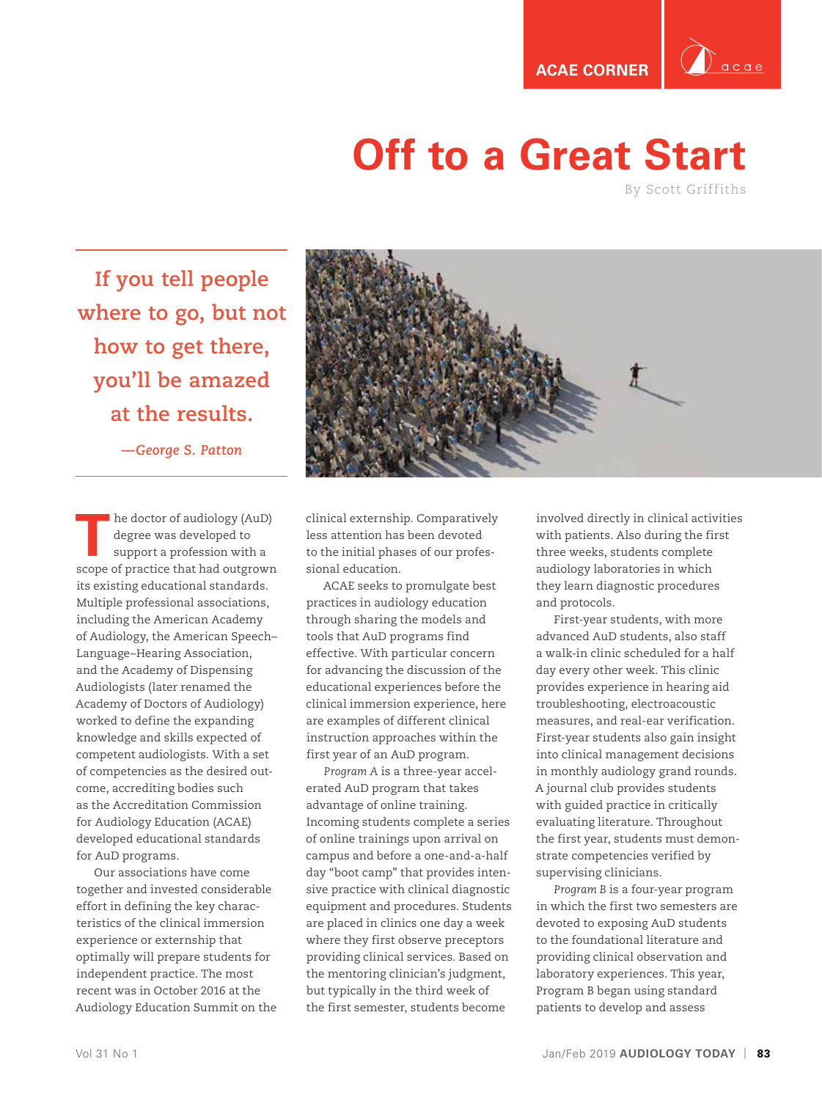**ACAE CORNER**



## **Off to a Great Start**

By Scott Griffiths

**If you tell people where to go, but not how to get there, you'll be amazed at the results.** 

*—George S. Patton*

**T** he doctor of audiology (AuD) degree was developed to support a profession with a scope of practice that had outgrown its existing educational standards. Multiple professional associations, including the American Academy of Audiology, the American Speech– Language–Hearing Association, and the Academy of Dispensing Audiologists (later renamed the Academy of Doctors of Audiology) worked to define the expanding knowledge and skills expected of competent audiologists. With a set of competencies as the desired outcome, accrediting bodies such as the Accreditation Commission for Audiology Education (ACAE) developed educational standards for AuD programs.

Our associations have come together and invested considerable effort in defining the key characteristics of the clinical immersion experience or externship that optimally will prepare students for independent practice. The most recent was in October 2016 at the Audiology Education Summit on the



ACAE seeks to promulgate best practices in audiology education through sharing the models and tools that AuD programs find effective. With particular concern for advancing the discussion of the educational experiences before the clinical immersion experience, here are examples of different clinical instruction approaches within the first year of an AuD program.

*Program A* is a three-year accelerated AuD program that takes advantage of online training. Incoming students complete a series of online trainings upon arrival on campus and before a one-and-a-half day "boot camp" that provides intensive practice with clinical diagnostic equipment and procedures. Students are placed in clinics one day a week where they first observe preceptors providing clinical services. Based on the mentoring clinician's judgment, but typically in the third week of the first semester, students become

involved directly in clinical activities with patients. Also during the first three weeks, students complete audiology laboratories in which they learn diagnostic procedures and protocols.

First-year students, with more advanced AuD students, also staff a walk-in clinic scheduled for a half day every other week. This clinic provides experience in hearing aid troubleshooting, electroacoustic measures, and real-ear verification. First-year students also gain insight into clinical management decisions in monthly audiology grand rounds. A journal club provides students with guided practice in critically evaluating literature. Throughout the first year, students must demonstrate competencies verified by supervising clinicians.

*Program B* is a four-year program in which the first two semesters are devoted to exposing AuD students to the foundational literature and providing clinical observation and laboratory experiences. This year, Program B began using standard patients to develop and assess